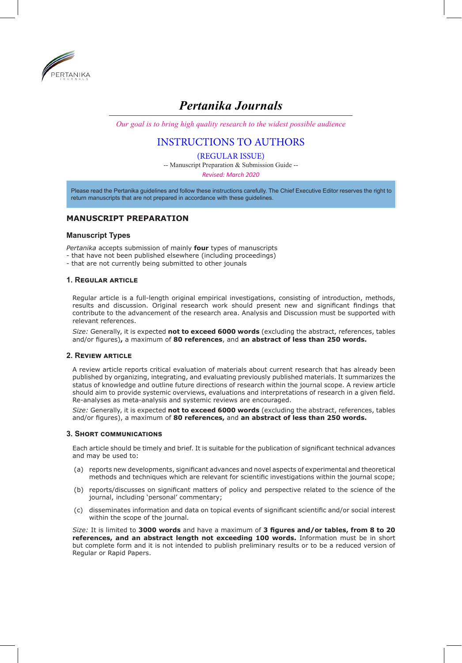

# *Pertanika Journals*

*Our goal is to bring high quality research to the widest possible audience*

## INSTRUCTIONS TO AUTHORS

(REGULAR ISSUE)

-- Manuscript Preparation & Submission Guide --

*Revised: March 2020*

Please read the Pertanika guidelines and follow these instructions carefully. The Chief Executive Editor reserves the right to return manuscripts that are not prepared in accordance with these guidelines.

## **MANUSCRIPT PREPARATION**

#### **Manuscript Types**

*Pertanika* accepts submission of mainly **four** types of manuscripts

- that have not been published elsewhere (including proceedings)
- that are not currently being submitted to other jounals

#### **1. Regular article**

Regular article is a full-length original empirical investigations, consisting of introduction, methods, results and discussion. Original research work should present new and significant findings that contribute to the advancement of the research area. Analysis and Discussion must be supported with relevant references.

*Size:* Generally, it is expected **not to exceed 6000 words** (excluding the abstract, references, tables and/or figures)**,** a maximum of **80 references**, and **an abstract of less than 250 words.**

#### **2. Review article**

A review article reports critical evaluation of materials about current research that has already been published by organizing, integrating, and evaluating previously published materials. It summarizes the status of knowledge and outline future directions of research within the journal scope. A review article should aim to provide systemic overviews, evaluations and interpretations of research in a given field. Re-analyses as meta-analysis and systemic reviews are encouraged.

*Size:* Generally, it is expected **not to exceed 6000 words** (excluding the abstract, references, tables and/or figures), a maximum of **80 references,** and **an abstract of less than 250 words.**

#### **3. Short communications**

Each article should be timely and brief. It is suitable for the publication of significant technical advances and may be used to:

- (a) reports new developments, significant advances and novel aspects of experimental and theoretical methods and techniques which are relevant for scientific investigations within the journal scope;
- (b) reports/discusses on significant matters of policy and perspective related to the science of the journal, including 'personal' commentary;
- (c) disseminates information and data on topical events of significant scientific and/or social interest within the scope of the journal.

*Size:* It is limited to **3000 words** and have a maximum of **3 figures and/or tables, from 8 to 20 references, and an abstract length not exceeding 100 words.** Information must be in short but complete form and it is not intended to publish preliminary results or to be a reduced version of Regular or Rapid Papers.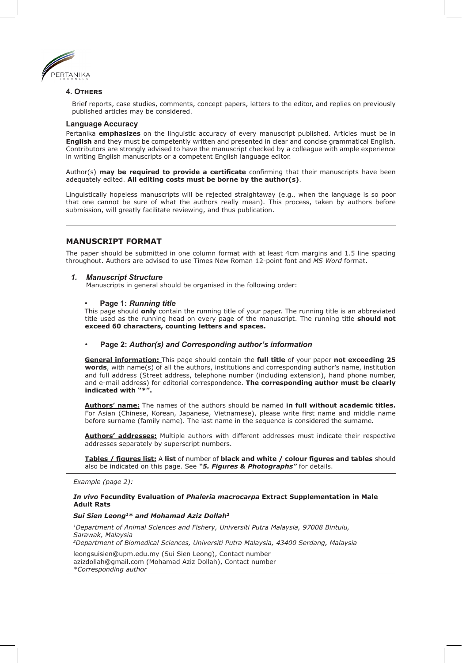

#### **4. Others**

Brief reports, case studies, comments, concept papers, letters to the editor, and replies on previously published articles may be considered.

#### **Language Accuracy**

Pertanika **emphasizes** on the linguistic accuracy of every manuscript published. Articles must be in **English** and they must be competently written and presented in clear and concise grammatical English. Contributors are strongly advised to have the manuscript checked by a colleague with ample experience in writing English manuscripts or a competent English language editor.

Author(s) **may be required to provide a certificate** confirming that their manuscripts have been adequately edited. **All editing costs must be borne by the author(s)**.

Linguistically hopeless manuscripts will be rejected straightaway (e.g., when the language is so poor that one cannot be sure of what the authors really mean). This process, taken by authors before submission, will greatly facilitate reviewing, and thus publication.

#### **MANUSCRIPT FORMAT**

The paper should be submitted in one column format with at least 4cm margins and 1.5 line spacing throughout. Authors are advised to use Times New Roman 12-point font and *MS Word* format.

#### *1. Manuscript Structure*

Manuscripts in general should be organised in the following order:

#### • **Page 1:** *Running title*

This page should **only** contain the running title of your paper. The running title is an abbreviated title used as the running head on every page of the manuscript. The running title **should not exceed 60 characters, counting letters and spaces.**

#### • **Page 2:** *Author(s) and Corresponding author's information*

**General information:** This page should contain the **full title** of your paper **not exceeding 25 words**, with name(s) of all the authors, institutions and corresponding author's name, institution and full address (Street address, telephone number (including extension), hand phone number, and e-mail address) for editorial correspondence. **The corresponding author must be clearly indicated with "\*".**

**Authors' name:** The names of the authors should be named **in full without academic titles.** For Asian (Chinese, Korean, Japanese, Vietnamese), please write first name and middle name before surname (family name). The last name in the sequence is considered the surname.

**Authors' addresses:** Multiple authors with different addresses must indicate their respective addresses separately by superscript numbers.

**Tables / figures list:** A **list** of number of **black and white / colour figures and tables** should also be indicated on this page. See *"5. Figures & Photographs"* for details.

*Example (page 2):* 

#### *In vivo* **Fecundity Evaluation of** *Phaleria macrocarpa* **Extract Supplementation in Male Adult Rats**

#### *Sui Sien Leong1\* and Mohamad Aziz Dollah2*

*1Department of Animal Sciences and Fishery, Universiti Putra Malaysia, 97008 Bintulu, Sarawak, Malaysia* 

*2Department of Biomedical Sciences, Universiti Putra Malaysia, 43400 Serdang, Malaysia*

leongsuisien@upm.edu.my (Sui Sien Leong), Contact number azizdollah@gmail.com (Mohamad Aziz Dollah), Contact number *\*Corresponding author*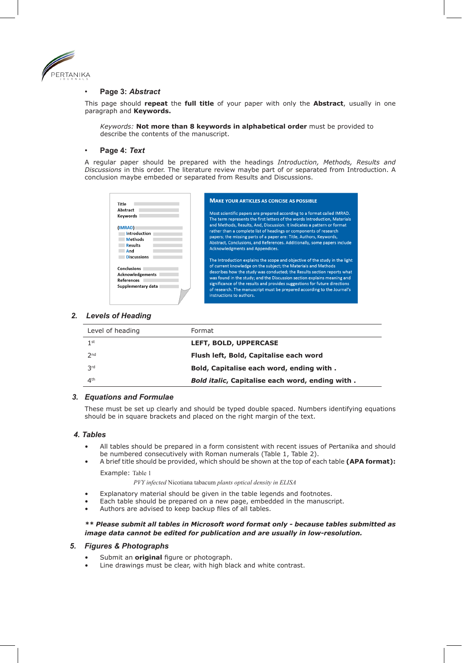

#### • **Page 3:** *Abstract*

This page should **repeat** the **full title** of your paper with only the **Abstract**, usually in one paragraph and **Keywords.** 

*Keywords:* **Not more than 8 keywords in alphabetical order** must be provided to describe the contents of the manuscript.

#### • **Page 4:** *Text*

A regular paper should be prepared with the headings *Introduction, Methods, Results and Discussions* in this order. The literature review maybe part of or separated from Introduction. A conclusion maybe embeded or separated from Results and Discussions.

| Title                                                                                                          | <b>MAKE YOUR ARTICLES AS CONCISE AS POSSIBLE</b>                                                                                                                                                                                                                                                                                                                                                                                                                                                                                   |
|----------------------------------------------------------------------------------------------------------------|------------------------------------------------------------------------------------------------------------------------------------------------------------------------------------------------------------------------------------------------------------------------------------------------------------------------------------------------------------------------------------------------------------------------------------------------------------------------------------------------------------------------------------|
| Abstract<br>Keywords<br>(IMRAD)<br>Introduction<br><b>Methods</b><br><b>Results</b>                            | Most scientific papers are prepared according to a format called IMRAD.<br>The term represents the first letters of the words Introduction, Materials<br>and Methods, Results, And, Discussion. It indicates a pattern or format<br>rather than a complete list of headings or components of research<br>papers; the missing parts of a paper are: Title, Authors, Keywords,<br>Abstract, Conclusions, and References. Additionally, some papers include                                                                           |
| And<br><b>Discussions</b><br>Conclusions<br><b>Acknowledgements</b><br><b>References</b><br>Supplementary data | <b>Acknowledgments and Appendices.</b><br>The Introduction explains the scope and objective of the study in the light<br>of current knowledge on the subject; the Materials and Methods<br>describes how the study was conducted; the Results section reports what<br>was found in the study; and the Discussion section explains meaning and<br>significance of the results and provides suggestions for future directions<br>of research. The manuscript must be prepared according to the Journal's<br>instructions to authors. |

#### *2. Levels of Heading*

| Level of heading | Format                                          |
|------------------|-------------------------------------------------|
| 1 <sup>st</sup>  | LEFT, BOLD, UPPERCASE                           |
| 2 <sub>nd</sub>  | Flush left, Bold, Capitalise each word          |
| <b>3rd</b>       | Bold, Capitalise each word, ending with.        |
| 4 <sup>th</sup>  | Bold italic, Capitalise each word, ending with. |

#### *3. Equations and Formulae*

These must be set up clearly and should be typed double spaced. Numbers identifying equations should be in square brackets and placed on the right margin of the text.

#### *4. Tables*

- All tables should be prepared in a form consistent with recent issues of Pertanika and should be numbered consecutively with Roman numerals (Table 1, Table 2).
- A brief title should be provided, which should be shown at the top of each table **(APA format):** Example: Table 1

 *PVY infected* Nicotiana tabacum *plants optical density in ELISA*

- Explanatory material should be given in the table legends and footnotes.
- Each table should be prepared on a new page, embedded in the manuscript.
- Authors are advised to keep backup files of all tables.

#### *\*\* Please submit all tables in Microsoft word format only - because tables submitted as image data cannot be edited for publication and are usually in low-resolution.*

#### *5. Figures & Photographs*

- Submit an **original** figure or photograph.
- Line drawings must be clear, with high black and white contrast.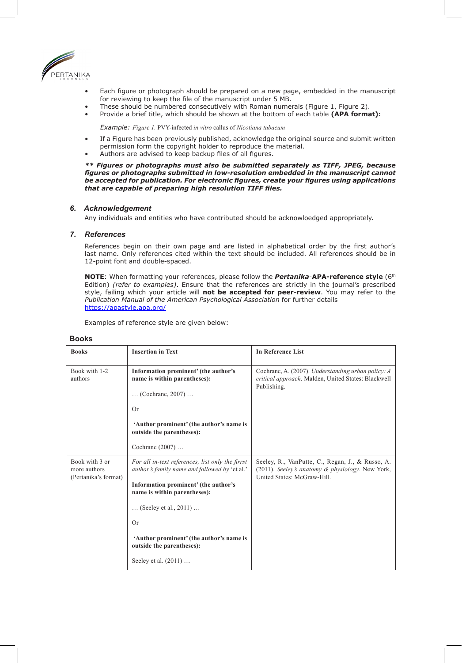

- Each figure or photograph should be prepared on a new page, embedded in the manuscript for reviewing to keep the file of the manuscript under 5 MB.
- These should be numbered consecutively with Roman numerals (Figure 1, Figure 2).
- Provide a brief title, which should be shown at the bottom of each table **(APA format):**

*Example: Figure 1.* PVY-infected *in vitro* callus of *Nicotiana tabacum*

- If a Figure has been previously published, acknowledge the original source and submit written permission form the copyright holder to reproduce the material.
- Authors are advised to keep backup files of all figures.

*\*\* Figures or photographs must also be submitted separately as TIFF, JPEG, because figures or photographs submitted in low-resolution embedded in the manuscript cannot be accepted for publication. For electronic figures, create your figures using applications that are capable of preparing high resolution TIFF files.*

#### *6. Acknowledgement*

Any individuals and entities who have contributed should be acknowloedged appropriately.

#### *7. References*

References begin on their own page and are listed in alphabetical order by the first author's last name. Only references cited within the text should be included. All references should be in 12-point font and double-spaced.

**NOTE**: When formatting your references, please follow the *Pertanika*-**APA-reference style** (6th Edition) *(refer to examples)*. Ensure that the references are strictly in the journal's prescribed style, failing which your article will **not be accepted for peer-review**. You may refer to the *Publication Manual of the American Psychological Association* for further details https://apastyle.apa.org/

Examples of reference style are given below:

| <b>Books</b>                                           | <b>Insertion in Text</b>                                                                          | <b>In Reference List</b>                                                                                                            |
|--------------------------------------------------------|---------------------------------------------------------------------------------------------------|-------------------------------------------------------------------------------------------------------------------------------------|
| Book with 1-2<br>authors                               | Information prominent' (the author's<br>name is within parentheses):                              | Cochrane, A. (2007). Understanding urban policy: A<br>critical approach. Malden, United States: Blackwell<br>Publishing.            |
|                                                        | (Cochrane, 2007)                                                                                  |                                                                                                                                     |
|                                                        | <b>Or</b>                                                                                         |                                                                                                                                     |
|                                                        | 'Author prominent' (the author's name is<br>outside the parentheses):                             |                                                                                                                                     |
|                                                        | Cochrane (2007)                                                                                   |                                                                                                                                     |
| Book with 3 or<br>more authors<br>(Pertanika's format) | For all in-text references, list only the firrst<br>author's family name and followed by 'et al.' | Seeley, R., VanPutte, C., Regan, J., & Russo, A.<br>(2011). Seeley's anatomy & physiology. New York,<br>United States: McGraw-Hill. |
|                                                        | Information prominent' (the author's<br>name is within parentheses):                              |                                                                                                                                     |
|                                                        | (Seeley et al., $2011$ )                                                                          |                                                                                                                                     |
|                                                        | <b>Or</b>                                                                                         |                                                                                                                                     |
|                                                        | 'Author prominent' (the author's name is<br>outside the parentheses):                             |                                                                                                                                     |
|                                                        | Seeley et al. (2011)                                                                              |                                                                                                                                     |

#### **Books**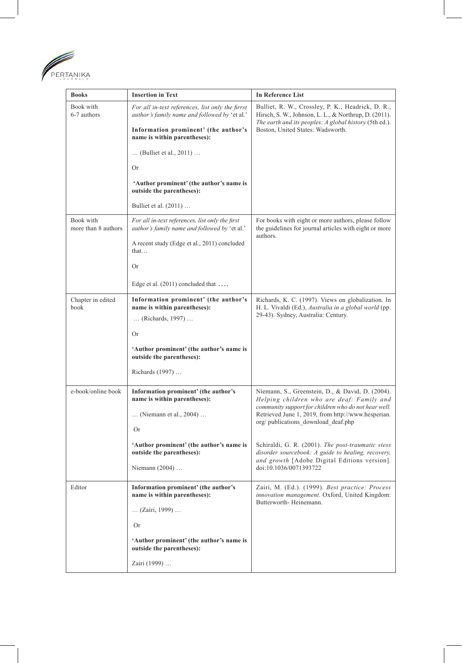

| <b>Books</b>                     | <b>Insertion in Text</b>                                                                                                                         | In Reference List                                                                                                                                                                                         |
|----------------------------------|--------------------------------------------------------------------------------------------------------------------------------------------------|-----------------------------------------------------------------------------------------------------------------------------------------------------------------------------------------------------------|
| Book with<br>6-7 authors         | For all in-text references, list only the firrst<br><i>author's family name and followed by 'et al.'</i><br>Information prominent' (the author's | Bulliet, R. W., Crossley, P. K., Headrick, D. R.,<br>Hirsch, S. W., Johnson, L. L., & Northrup, D. (2011).<br>The earth and its peoples: A global history (5th ed.).<br>Boston, United States: Wadsworth. |
|                                  | name is within parentheses):                                                                                                                     |                                                                                                                                                                                                           |
|                                  | (Bulliet et al., $2011$ )                                                                                                                        |                                                                                                                                                                                                           |
|                                  | Or                                                                                                                                               |                                                                                                                                                                                                           |
|                                  | 'Author prominent' (the author's name is<br>outside the parentheses):                                                                            |                                                                                                                                                                                                           |
|                                  | Bulliet et al. $(2011)$                                                                                                                          |                                                                                                                                                                                                           |
| Book with<br>more than 8 authors | For all in-text references, list only the first<br><i>author's family name and followed by 'et al.'</i>                                          | For books with eight or more authors, please follow<br>the guidelines for journal articles with eight or more<br>authors.                                                                                 |
|                                  | A recent study (Edge et al., 2011) concluded<br>that                                                                                             |                                                                                                                                                                                                           |
|                                  | Or                                                                                                                                               |                                                                                                                                                                                                           |
|                                  | Edge et al. $(2011)$ concluded that                                                                                                              |                                                                                                                                                                                                           |
| Chapter in edited<br>book        | Information prominent' (the author's<br>name is within parentheses):                                                                             | Richards, K. C. (1997). Views on globalization. In<br>H. L. Vivaldi (Ed.), Australia in a global world (pp.<br>29-43). Sydney, Australia: Century.                                                        |
|                                  | (Richards, 1997)                                                                                                                                 |                                                                                                                                                                                                           |
|                                  | Or                                                                                                                                               |                                                                                                                                                                                                           |
|                                  | 'Author prominent' (the author's name is<br>outside the parentheses):                                                                            |                                                                                                                                                                                                           |
|                                  | Richards (1997)                                                                                                                                  |                                                                                                                                                                                                           |
| e-book/online book               | Information prominent' (the author's<br>name is within parentheses):                                                                             | Niemann, S., Greenstein, D., & David, D. (2004).<br>Helping children who are deaf: Family and                                                                                                             |
|                                  | $\ldots$ (Niemann et al., 2004) $\ldots$                                                                                                         | community support for children who do not hear well.<br>Retrieved June 1, 2019, from http://www.hesperian.                                                                                                |
|                                  | Or                                                                                                                                               | org/publications_download_deaf.php                                                                                                                                                                        |
|                                  | 'Author prominent' (the author's name is<br>outside the parentheses):                                                                            | Schiraldi, G. R. (2001). The post-traumatic stess<br>disorder sourcebook: A guide to healing, recovery,                                                                                                   |
|                                  | Niemann (2004)                                                                                                                                   | and growth [Adobe Digital Editions version].<br>doi:10.1036/0071393722                                                                                                                                    |
| Editor                           | Information prominent' (the author's<br>name is within parentheses):                                                                             | Zairi, M. (Ed.). (1999). Best practice: Process<br>innovation management. Oxford, United Kingdom:                                                                                                         |
|                                  | (Zairi, 1999)                                                                                                                                    | Butterworth-Heinemann.                                                                                                                                                                                    |
|                                  | Or                                                                                                                                               |                                                                                                                                                                                                           |
|                                  | 'Author prominent' (the author's name is<br>outside the parentheses):                                                                            |                                                                                                                                                                                                           |
|                                  | Zairi (1999)                                                                                                                                     |                                                                                                                                                                                                           |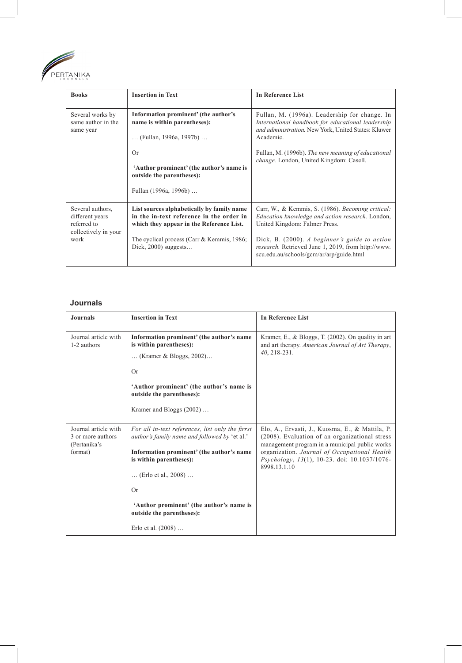

| <b>Books</b>                                                               | <b>Insertion in Text</b>                                                                                                           | In Reference List                                                                                                                                                                                                                                                       |
|----------------------------------------------------------------------------|------------------------------------------------------------------------------------------------------------------------------------|-------------------------------------------------------------------------------------------------------------------------------------------------------------------------------------------------------------------------------------------------------------------------|
| Several works by<br>same author in the<br>same year                        | Information prominent' (the author's<br>name is within parentheses):<br>(Fullan, 1996a, 1997b)<br>Or                               | Fullan, M. (1996a). Leadership for change. In<br>International handbook for educational leadership<br>and administration. New York, United States: Kluwer<br>Academic.<br>Fullan, M. (1996b). The new meaning of educational<br>change. London, United Kingdom: Casell. |
|                                                                            | 'Author prominent' (the author's name is<br>outside the parentheses):<br>Fullan (1996a, 1996b)                                     |                                                                                                                                                                                                                                                                         |
| Several authors,<br>different years<br>referred to<br>collectively in your | List sources alphabetically by family name<br>in the in-text reference in the order in<br>which they appear in the Reference List. | Carr, W., & Kemmis, S. (1986). Becoming critical:<br>Education knowledge and action research. London,<br>United Kingdom: Falmer Press.                                                                                                                                  |
| work                                                                       | The cyclical process (Carr & Kemmis, 1986;<br>Dick, $2000$ ) suggests                                                              | Dick, B. (2000). A beginner's guide to action<br>research. Retrieved June 1, 2019, from http://www.<br>scu.edu.au/schools/gcm/ar/arp/guide.html                                                                                                                         |

## **Journals**

| <b>Journals</b>                                                      | <b>Insertion in Text</b>                                                                                                                                                                                                                                                                                        | <b>In Reference List</b>                                                                                                                                                                                                                                            |
|----------------------------------------------------------------------|-----------------------------------------------------------------------------------------------------------------------------------------------------------------------------------------------------------------------------------------------------------------------------------------------------------------|---------------------------------------------------------------------------------------------------------------------------------------------------------------------------------------------------------------------------------------------------------------------|
| Journal article with<br>1-2 authors                                  | Information prominent' (the author's name<br>is within parentheses):<br>(Kramer & Bloggs, 2002)<br><b>Or</b><br>'Author prominent' (the author's name is<br>outside the parentheses):<br>Kramer and Bloggs (2002)                                                                                               | Kramer, E., & Bloggs, T. (2002). On quality in art<br>and art therapy. American Journal of Art Therapy,<br>40, 218-231.                                                                                                                                             |
| Journal article with<br>3 or more authors<br>(Pertanika's<br>format) | For all in-text references, list only the firrst<br><i>author's family name and followed by 'et al.'</i><br>Information prominent' (the author's name<br>is within parentheses):<br>(Erlo et al., $2008$ )<br>Or<br>'Author prominent' (the author's name is<br>outside the parentheses):<br>Erlo et al. (2008) | Elo, A., Ervasti, J., Kuosma, E., & Mattila, P.<br>(2008). Evaluation of an organizational stress<br>management program in a municipal public works<br>organization. Journal of Occupational Health<br>Psychology, 13(1), 10-23. doi: 10.1037/1076-<br>8998.13.1.10 |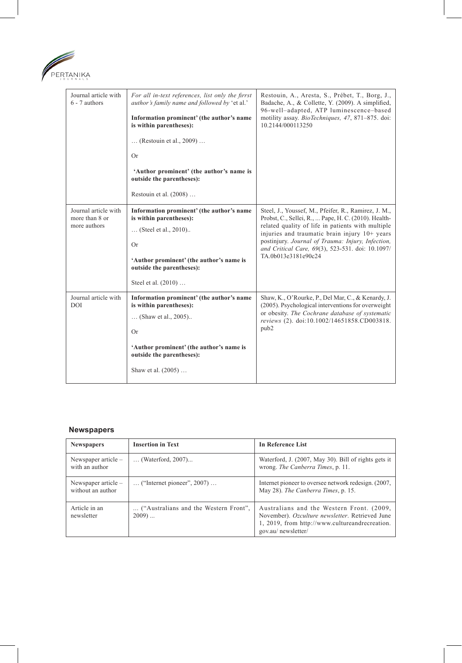

| Journal article with<br>$6 - 7$ authors                | For all in-text references, list only the firrst<br>author's family name and followed by 'et al.'<br>Information prominent' (the author's name<br>is within parentheses):<br>(Restouin et al., 2009)<br>Or<br>'Author prominent' (the author's name is<br>outside the parentheses):<br>Restouin et al. (2008) | Restouin, A., Aresta, S., Prébet, T., Borg, J.,<br>Badache, A., & Collette, Y. (2009). A simplified,<br>96-well-adapted, ATP luminescence-based<br>motility assay. <i>BioTechniques</i> , 47, 871-875. doi:<br>10.2144/000113250                                                                                                                   |
|--------------------------------------------------------|---------------------------------------------------------------------------------------------------------------------------------------------------------------------------------------------------------------------------------------------------------------------------------------------------------------|----------------------------------------------------------------------------------------------------------------------------------------------------------------------------------------------------------------------------------------------------------------------------------------------------------------------------------------------------|
| Journal article with<br>more than 8 or<br>more authors | Information prominent' (the author's name<br>is within parentheses):<br>(Steel et al., 2010)<br>Or<br>'Author prominent' (the author's name is<br>outside the parentheses):<br>Steel et al. (2010)                                                                                                            | Steel, J., Youssef, M., Pfeifer, R., Ramirez, J. M.,<br>Probst, C., Sellei, R.,  Pape, H. C. (2010). Health-<br>related quality of life in patients with multiple<br>injuries and traumatic brain injury 10+ years<br>postinjury. Journal of Trauma: Injury, Infection,<br>and Critical Care, 69(3), 523-531. doi: 10.1097/<br>TA.0b013e3181e90c24 |
| Journal article with<br><b>DOI</b>                     | Information prominent' (the author's name<br>is within parentheses):<br>(Shaw et al., 2005)<br>Or<br>'Author prominent' (the author's name is<br>outside the parentheses):<br>Shaw et al. (2005)                                                                                                              | Shaw, K., O'Rourke, P., Del Mar, C., & Kenardy, J.<br>(2005). Psychological interventions for overweight<br>or obesity. The Cochrane database of systematic<br>reviews (2). doi:10.1002/14651858.CD003818.<br>pub2                                                                                                                                 |

## **Newspapers**

| <b>Newspapers</b>                          | <b>Insertion in Text</b>                          | In Reference List                                                                                                                                                     |
|--------------------------------------------|---------------------------------------------------|-----------------------------------------------------------------------------------------------------------------------------------------------------------------------|
| Newspaper article $-$<br>with an author    | (Waterford, 2007)                                 | Waterford, J. (2007, May 30). Bill of rights gets it<br>wrong. The Canberra Times, p. 11.                                                                             |
| Newspaper article $-$<br>without an author | $\ldots$ ("Internet pioneer", 2007) $\ldots$      | Internet pioneer to oversee network redesign. (2007,<br>May 28). The Canberra Times, p. 15.                                                                           |
| Article in an<br>newsletter                | ("Australians and the Western Front",<br>$2009$ ) | Australians and the Western Front. (2009,<br>November). Ozculture newsletter. Retrieved June<br>1, 2019, from http://www.cultureandrecreation.<br>gov.au/ newsletter/ |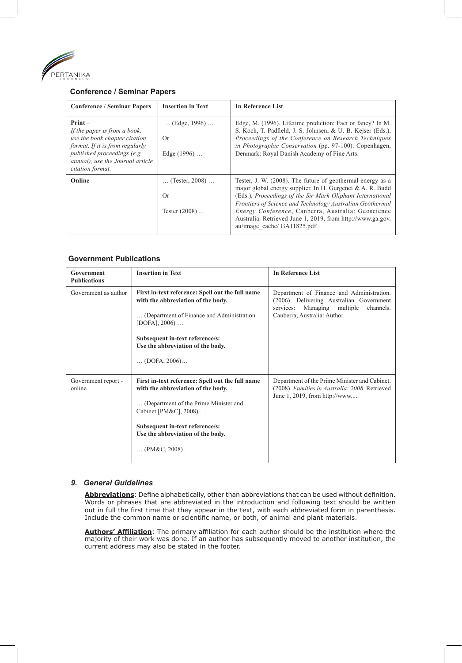

## **Conference / Seminar Papers**

| <b>Conference / Seminar Papers</b>                                                                                                                                                                   | <b>Insertion in Text</b>                                  | <b>In Reference List</b>                                                                                                                                                                                                                                                                                                                                                                              |
|------------------------------------------------------------------------------------------------------------------------------------------------------------------------------------------------------|-----------------------------------------------------------|-------------------------------------------------------------------------------------------------------------------------------------------------------------------------------------------------------------------------------------------------------------------------------------------------------------------------------------------------------------------------------------------------------|
| $Print -$<br>If the paper is from a book,<br>use the book chapter citation<br>format. If it is from regularly<br>published proceedings (e.g.<br>annual), use the Journal article<br>citation format. | $\ldots$ (Edge, 1996) $\ldots$<br>Or<br>Edge $(1996)$     | Edge, M. (1996). Lifetime prediction: Fact or fancy? In M.<br>S. Koch, T. Padfield, J. S. Johnsen, & U. B. Kejser (Eds.),<br>Proceedings of the Conference on Research Techniques<br>in Photographic Conservation (pp. 97-100). Copenhagen,<br>Denmark: Royal Danish Academy of Fine Arts.                                                                                                            |
| Online                                                                                                                                                                                               | $\ldots$ (Tester, 2008) $\ldots$<br>Or<br>Tester $(2008)$ | Tester, J. W. (2008). The future of geothermal energy as a<br>major global energy supplier. In H. Gurgenci & A. R. Budd<br>(Eds.), Proceedings of the Sir Mark Oliphant International<br>Frontiers of Science and Technology Australian Geothermal<br>Energy Conference, Canberra, Australia: Geoscience<br>Australia. Retrieved June 1, 2019, from http://www.ga.gov.<br>au/image_cache/ GA11825.pdf |

#### **Government Publications**

| Government<br><b>Publications</b> | <b>Insertion in Text</b>                                                                                                            | <b>In Reference List</b>                                                                                                                                             |
|-----------------------------------|-------------------------------------------------------------------------------------------------------------------------------------|----------------------------------------------------------------------------------------------------------------------------------------------------------------------|
| Government as author              | First in-text reference: Spell out the full name<br>with the abbreviation of the body.<br>(Department of Finance and Administration | Department of Finance and Administration.<br>(2006). Delivering Australian Government<br>Managing multiple<br>channels.<br>services:<br>Canberra, Australia: Author. |
|                                   | [DOFA], 2006)<br>Subsequent in-text reference/s:                                                                                    |                                                                                                                                                                      |
|                                   | Use the abbreviation of the body.                                                                                                   |                                                                                                                                                                      |
|                                   | $\ldots$ (DOFA, 2006)                                                                                                               |                                                                                                                                                                      |
| Government report -<br>online     | First in-text reference: Spell out the full name<br>with the abbreviation of the body.                                              | Department of the Prime Minister and Cabinet.<br>(2008). Families in Australia: 2008. Retrieved<br>June 1, 2019, from http://www                                     |
|                                   | (Department of the Prime Minister and<br>Cabinet [PM&C], 2008)                                                                      |                                                                                                                                                                      |
|                                   | Subsequent in-text reference/s:<br>Use the abbreviation of the body.                                                                |                                                                                                                                                                      |
|                                   | (PM&C, 2008)                                                                                                                        |                                                                                                                                                                      |

### *9. General Guidelines*

**Abbreviations**: Define alphabetically, other than abbreviations that can be used without definition. Words or phrases that are abbreviated in the introduction and following text should be written out in full the first time that they appear in the text, with each abbreviated form in parenthesis. Include the common name or scientific name, or both, of animal and plant materials.

**Authors' Affiliation**: The primary affiliation for each author should be the institution where the majority of their work was done. If an author has subsequently moved to another institution, the current address may also be stated in the footer.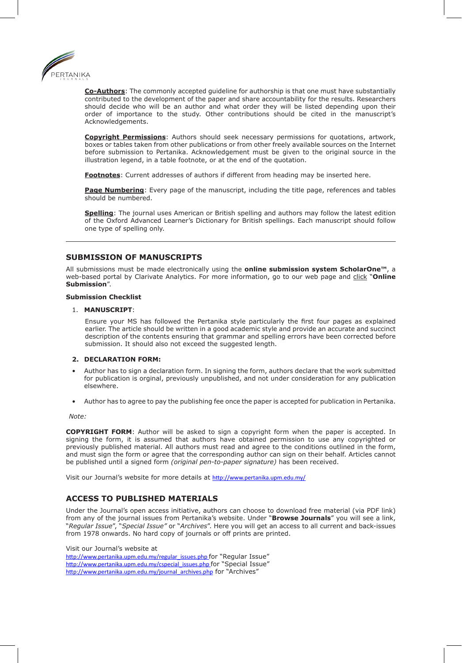

**Co-Authors**: The commonly accepted guideline for authorship is that one must have substantially contributed to the development of the paper and share accountability for the results. Researchers should decide who will be an author and what order they will be listed depending upon their order of importance to the study. Other contributions should be cited in the manuscript's Acknowledgements.

**Copyright Permissions**: Authors should seek necessary permissions for quotations, artwork, boxes or tables taken from other publications or from other freely available sources on the Internet before submission to Pertanika. Acknowledgement must be given to the original source in the illustration legend, in a table footnote, or at the end of the quotation.

**Footnotes**: Current addresses of authors if different from heading may be inserted here.

**Page Numbering**: Every page of the manuscript, including the title page, references and tables should be numbered.

**Spelling**: The journal uses American or British spelling and authors may follow the latest edition of the Oxford Advanced Learner's Dictionary for British spellings. Each manuscript should follow one type of spelling only.

## **SUBMISSION OF MANUSCRIPTS**

All submissions must be made electronically using the **online submission system ScholarOne™**, a web-based portal by Clarivate Analytics. For more information, go to our web page and click "**Online Submission**".

#### **Submission Checklist**

#### 1. **MANUSCRIPT**:

Ensure your MS has followed the Pertanika style particularly the first four pages as explained earlier. The article should be written in a good academic style and provide an accurate and succinct description of the contents ensuring that grammar and spelling errors have been corrected before submission. It should also not exceed the suggested length.

#### **2. DECLARATION FORM:**

- Author has to sign a declaration form. In signing the form, authors declare that the work submitted for publication is orginal, previously unpublished, and not under consideration for any publication elsewhere.
- Author has to agree to pay the publishing fee once the paper is accepted for publication in Pertanika.

*Note:* 

**COPYRIGHT FORM**: Author will be asked to sign a copyright form when the paper is accepted. In signing the form, it is assumed that authors have obtained permission to use any copyrighted or previously published material. All authors must read and agree to the conditions outlined in the form, and must sign the form or agree that the corresponding author can sign on their behalf. Articles cannot be published until a signed form *(original pen-to-paper signature)* has been received.

Visit our Journal's website for more details at http://www.pertanika.upm.edu.my/

## **ACCESS TO PUBLISHED MATERIALS**

Under the Journal's open access initiative, authors can choose to download free material (via PDF link) from any of the journal issues from Pertanika's website. Under "**Browse Journals**" you will see a link, "*Regular Issue*", "*Special Issue"* or "*Archives*". Here you will get an access to all current and back-issues from 1978 onwards. No hard copy of journals or off prints are printed.

Visit our Journal's website at

http://www.pertanika.upm.edu.my/regular\_issues.php for "Regular Issue" http://www.pertanika.upm.edu.my/cspecial\_issues.php for "Special Issue" http://www.pertanika.upm.edu.my/journal\_archives.php for "Archives"